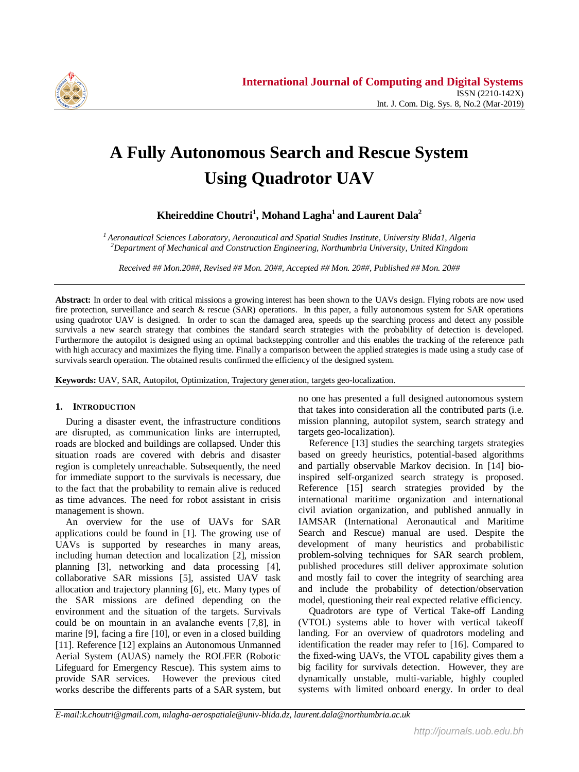

# **A Fully Autonomous Search and Rescue System Using Quadrotor UAV**

**Kheireddine Choutri<sup>1</sup> , Mohand Lagha<sup>1</sup> and Laurent Dala<sup>2</sup>**

*<sup>1</sup>Aeronautical Sciences Laboratory, Aeronautical and Spatial Studies Institute, University Blida1, Algeria <sup>2</sup>Department of Mechanical and Construction Engineering, Northumbria University, United Kingdom*

*Received ## Mon.20##, Revised ## Mon. 20##, Accepted ## Mon. 20##, Published ## Mon. 20##*

**Abstract:** In order to deal with critical missions a growing interest has been shown to the UAVs design. Flying robots are now used fire protection, surveillance and search & rescue (SAR) operations. In this paper, a fully autonomous system for SAR operations using quadrotor UAV is designed. In order to scan the damaged area, speeds up the searching process and detect any possible survivals a new search strategy that combines the standard search strategies with the probability of detection is developed. Furthermore the autopilot is designed using an optimal backstepping controller and this enables the tracking of the reference path with high accuracy and maximizes the flying time. Finally a comparison between the applied strategies is made using a study case of survivals search operation. The obtained results confirmed the efficiency of the designed system.

**Keywords:** UAV, SAR, Autopilot, Optimization, Trajectory generation, targets geo-localization.

# **1. INTRODUCTION**

During a disaster event, the infrastructure conditions are disrupted, as communication links are interrupted, roads are blocked and buildings are collapsed. Under this situation roads are covered with debris and disaster region is completely unreachable. Subsequently, the need for immediate support to the survivals is necessary, due to the fact that the probability to remain alive is reduced as time advances. The need for robot assistant in crisis management is shown.

An overview for the use of UAVs for SAR applications could be found in [1]. The growing use of UAVs is supported by researches in many areas, including human detection and localization [2], mission planning [3], networking and data processing [4], collaborative SAR missions [5], assisted UAV task allocation and trajectory planning [6], etc. Many types of the SAR missions are defined depending on the environment and the situation of the targets. Survivals could be on mountain in an avalanche events [7,8], in marine [9], facing a fire [10], or even in a closed building [11]. Reference [12] explains an Autonomous Unmanned Aerial System (AUAS) namely the ROLFER (Robotic Lifeguard for Emergency Rescue). This system aims to provide SAR services. However the previous cited works describe the differents parts of a SAR system, but no one has presented a full designed autonomous system that takes into consideration all the contributed parts (i.e. mission planning, autopilot system, search strategy and targets geo-localization).

Reference [13] studies the searching targets strategies based on greedy heuristics, potential-based algorithms and partially observable Markov decision. In [14] bioinspired self-organized search strategy is proposed. Reference [15] search strategies provided by the international maritime organization and international civil aviation organization, and published annually in IAMSAR (International Aeronautical and Maritime Search and Rescue) manual are used. Despite the development of many heuristics and probabilistic problem-solving techniques for SAR search problem, published procedures still deliver approximate solution and mostly fail to cover the integrity of searching area and include the probability of detection/observation model, questioning their real expected relative efficiency.

Quadrotors are type of Vertical Take-off Landing (VTOL) systems able to hover with vertical takeoff landing. For an overview of quadrotors modeling and identification the reader may refer to [16]. Compared to the fixed-wing UAVs, the VTOL capability gives them a big facility for survivals detection. However, they are dynamically unstable, multi-variable, highly coupled systems with limited onboard energy. In order to deal

*E-mail:k.choutri@gmail.com, mlagha-aerospatiale@univ-blida.dz, laurent.dala@northumbria.ac.uk*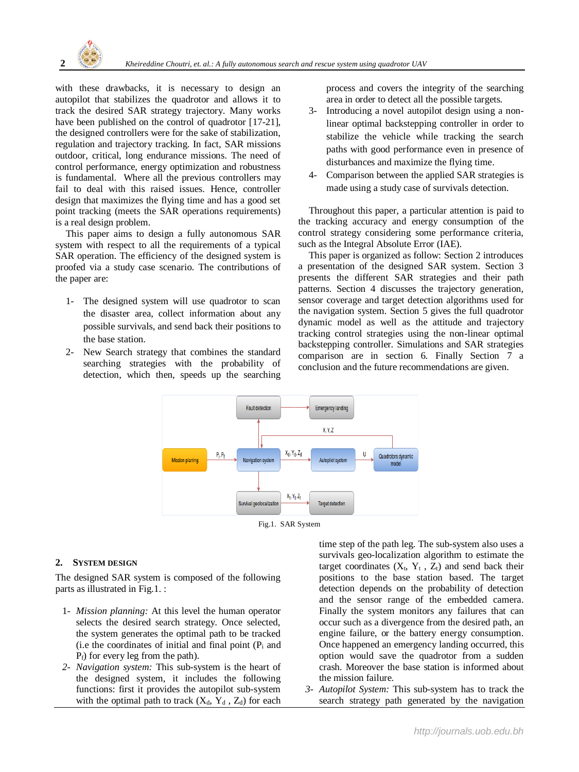

with these drawbacks, it is necessary to design an autopilot that stabilizes the quadrotor and allows it to track the desired SAR strategy trajectory. Many works have been published on the control of quadrotor [17-21], the designed controllers were for the sake of stabilization, regulation and trajectory tracking. In fact, SAR missions outdoor, critical, long endurance missions. The need of control performance, energy optimization and robustness is fundamental. Where all the previous controllers may fail to deal with this raised issues. Hence, controller design that maximizes the flying time and has a good set point tracking (meets the SAR operations requirements) is a real design problem.

This paper aims to design a fully autonomous SAR system with respect to all the requirements of a typical SAR operation. The efficiency of the designed system is proofed via a study case scenario. The contributions of the paper are:

- 1- The designed system will use quadrotor to scan the disaster area, collect information about any possible survivals, and send back their positions to the base station.
- 2- New Search strategy that combines the standard searching strategies with the probability of detection, which then, speeds up the searching

process and covers the integrity of the searching area in order to detect all the possible targets.

- 3- Introducing a novel autopilot design using a nonlinear optimal backstepping controller in order to stabilize the vehicle while tracking the search paths with good performance even in presence of disturbances and maximize the flying time.
- 4- Comparison between the applied SAR strategies is made using a study case of survivals detection.

Throughout this paper, a particular attention is paid to the tracking accuracy and energy consumption of the control strategy considering some performance criteria, such as the Integral Absolute Error (IAE).

This paper is organized as follow: Section 2 introduces a presentation of the designed SAR system. Section 3 presents the different SAR strategies and their path patterns. Section 4 discusses the trajectory generation, sensor coverage and target detection algorithms used for the navigation system. Section 5 gives the full quadrotor dynamic model as well as the attitude and trajectory tracking control strategies using the non-linear optimal backstepping controller. Simulations and SAR strategies comparison are in section 6. Finally Section 7 a conclusion and the future recommendations are given.



# **2. SYSTEM DESIGN**

The designed SAR system is composed of the following parts as illustrated in Fig.1. :

- 1- *Mission planning:* At this level the human operator selects the desired search strategy. Once selected, the system generates the optimal path to be tracked (i.e the coordinates of initial and final point  $(P_i$  and  $P_f$ ) for every leg from the path).
- *2- Navigation system:* This sub-system is the heart of the designed system, it includes the following functions: first it provides the autopilot sub-system with the optimal path to track  $(X_d, Y_d, Z_d)$  for each

time step of the path leg. The sub-system also uses a survivals geo-localization algorithm to estimate the target coordinates  $(X_t, Y_t, Z_t)$  and send back their positions to the base station based. The target detection depends on the probability of detection and the sensor range of the embedded camera. Finally the system monitors any failures that can occur such as a divergence from the desired path, an engine failure, or the battery energy consumption. Once happened an emergency landing occurred, this option would save the quadrotor from a sudden crash. Moreover the base station is informed about the mission failure.

*3- Autopilot System:* This sub-system has to track the search strategy path generated by the navigation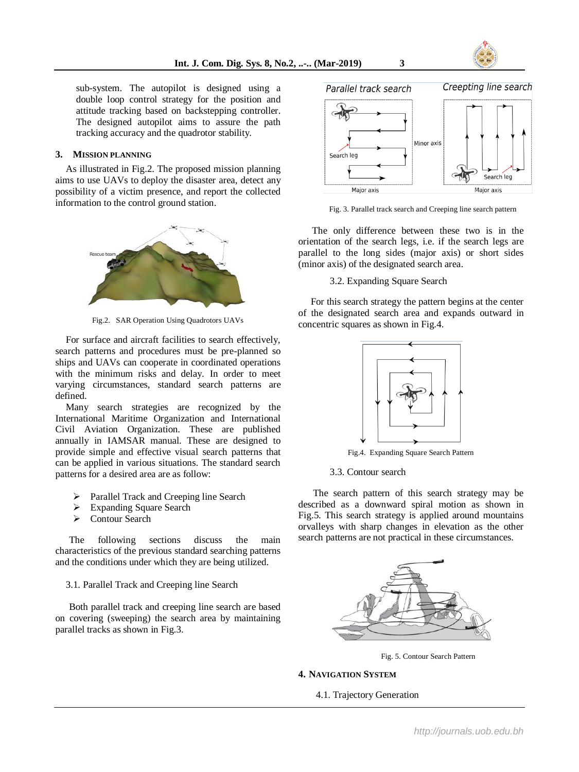

sub-system. The autopilot is designed using a double loop control strategy for the position and attitude tracking based on backstepping controller. The designed autopilot aims to assure the path tracking accuracy and the quadrotor stability.

## **3. MISSION PLANNING**

As illustrated in Fig.2. The proposed mission planning aims to use UAVs to deploy the disaster area, detect any possibility of a victim presence, and report the collected information to the control ground station.



Fig.2. SAR Operation Using Quadrotors UAVs

For surface and aircraft facilities to search effectively, search patterns and procedures must be pre-planned so ships and UAVs can cooperate in coordinated operations with the minimum risks and delay. In order to meet varying circumstances, standard search patterns are defined.

Many search strategies are recognized by the International Maritime Organization and International Civil Aviation Organization. These are published annually in IAMSAR manual. These are designed to provide simple and effective visual search patterns that can be applied in various situations. The standard search patterns for a desired area are as follow:

- Parallel Track and Creeping line Search
- Expanding Square Search
- Contour Search

The following sections discuss the main characteristics of the previous standard searching patterns and the conditions under which they are being utilized.

#### 3.1. Parallel Track and Creeping line Search

Both parallel track and creeping line search are based on covering (sweeping) the search area by maintaining parallel tracks as shown in Fig.3.



Fig. 3. Parallel track search and Creeping line search pattern

The only difference between these two is in the orientation of the search legs, i.e. if the search legs are parallel to the long sides (major axis) or short sides (minor axis) of the designated search area.

3.2. Expanding Square Search

 For this search strategy the pattern begins at the center of the designated search area and expands outward in concentric squares as shown in Fig.4.



Fig.4. Expanding Square Search Pattern

# 3.3. Contour search

 The search pattern of this search strategy may be described as a downward spiral motion as shown in Fig.5. This search strategy is applied around mountains orvalleys with sharp changes in elevation as the other search patterns are not practical in these circumstances.



Fig. 5. Contour Search Pattern

#### **4. NAVIGATION SYSTEM**

4.1. Trajectory Generation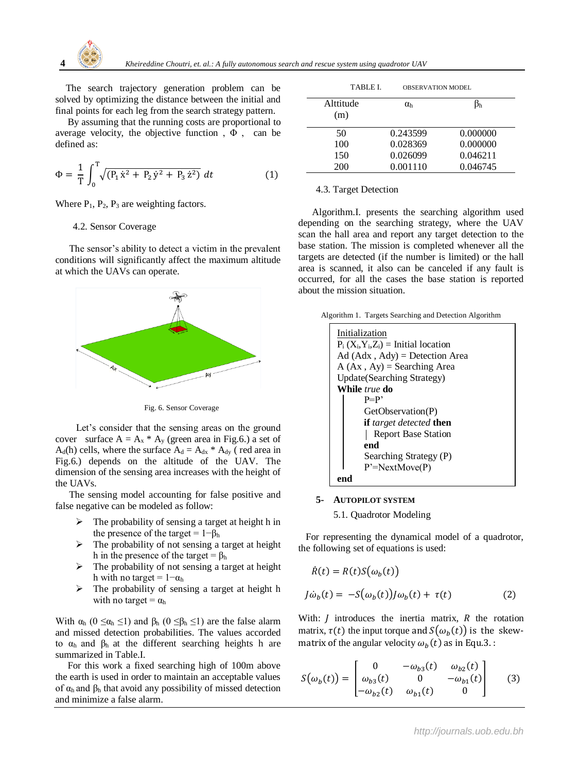

The search trajectory generation problem can be solved by optimizing the distance between the initial and final points for each leg from the search strategy pattern.

 By assuming that the running costs are proportional to average velocity, the objective function,  $\Phi$ , can be defined as:

$$
\Phi = \frac{1}{T} \int_0^T \sqrt{(P_1 \dot{x}^2 + P_2 \dot{y}^2 + P_3 \dot{z}^2)} dt
$$
 (1)

Where  $P_1$ ,  $P_2$ ,  $P_3$  are weighting factors.

#### 4.2. Sensor Coverage

The sensor's ability to detect a victim in the prevalent conditions will significantly affect the maximum altitude at which the UAVs can operate.



Fig. 6. Sensor Coverage

Let's consider that the sensing areas on the ground cover surface  $A = A_x * A_y$  (green area in Fig.6.) a set of  $A_d(h)$  cells, where the surface  $A_d = A_{dx} * A_{dy}$  (red area in Fig.6.) depends on the altitude of the UAV. The dimension of the sensing area increases with the height of the UAVs.

The sensing model accounting for false positive and false negative can be modeled as follow:

- The probability of sensing a target at height h in the presence of the target =  $1-\beta_h$
- $\triangleright$  The probability of not sensing a target at height h in the presence of the target =  $\beta_h$
- $\triangleright$  The probability of not sensing a target at height h with no target =  $1-\alpha_h$
- $\triangleright$  The probability of sensing a target at height h with no target =  $\alpha_h$

With  $\alpha_h$  ( $0 \leq \alpha_h \leq 1$ ) and  $\beta_h$  ( $0 \leq \beta_h \leq 1$ ) are the false alarm and missed detection probabilities. The values accorded to  $\alpha_h$  and  $\beta_h$  at the different searching heights h are summarized in Table.I.

 For this work a fixed searching high of 100m above the earth is used in order to maintain an acceptable values of  $\alpha_h$  and  $\beta_h$  that avoid any possibility of missed detection and minimize a false alarm.

| TABLE L          | <b>OBSERVATION MODEL</b> |          |  |
|------------------|--------------------------|----------|--|
| Alttitude<br>(m) | $\alpha_{\rm h}$         |          |  |
| 50               | 0.243599                 | 0.000000 |  |
| 100              | 0.028369                 | 0.000000 |  |
| 150              | 0.026099                 | 0.046211 |  |
| 200              | 0.001110                 | 0.046745 |  |

#### 4.3. Target Detection

Algorithm.I. presents the searching algorithm used depending on the searching strategy, where the UAV scan the hall area and report any target detection to the base station. The mission is completed whenever all the targets are detected (if the number is limited) or the hall area is scanned, it also can be canceled if any fault is occurred, for all the cases the base station is reported about the mission situation.

Algorithm 1. Targets Searching and Detection Algorithm

| Initialization<br>$P_i(X_i, Y_i, Z_i)$ = Initial location |
|-----------------------------------------------------------|
| $Ad (Adx, Ady) =$ Detection Area                          |
| $A (Ax, Ay) =$ Searching Area                             |
| <b>Update</b> (Searching Strategy)                        |
| While <i>true</i> do                                      |
| $P = P'$                                                  |
| GetObservation(P)                                         |
| <b>if</b> target detected <b>then</b>                     |
| <b>Report Base Station</b>                                |
| end                                                       |
| Searching Strategy (P)                                    |
| $P' = NextMove(P)$                                        |
|                                                           |

# **5- AUTOPILOT SYSTEM**

5.1. Quadrotor Modeling

 For representing the dynamical model of a quadrotor, the following set of equations is used:

$$
\dot{R}(t) = R(t)S(\omega_b(t))
$$
  
\n
$$
J\dot{\omega}_b(t) = -S(\omega_b(t))J\omega_b(t) + \tau(t)
$$
\n(2)

With:  *introduces the inertia matrix,*  $*R*$  *the rotation* matrix,  $\tau(t)$  the input torque and  $S(\omega_b(t))$  is the skewmatrix of the angular velocity  $\omega_b(t)$  as in Equ.3. :

$$
S(\omega_b(t)) = \begin{bmatrix} 0 & -\omega_{b3}(t) & \omega_{b2}(t) \\ \omega_{b3}(t) & 0 & -\omega_{b1}(t) \\ -\omega_{b2}(t) & \omega_{b1}(t) & 0 \end{bmatrix}
$$
 (3)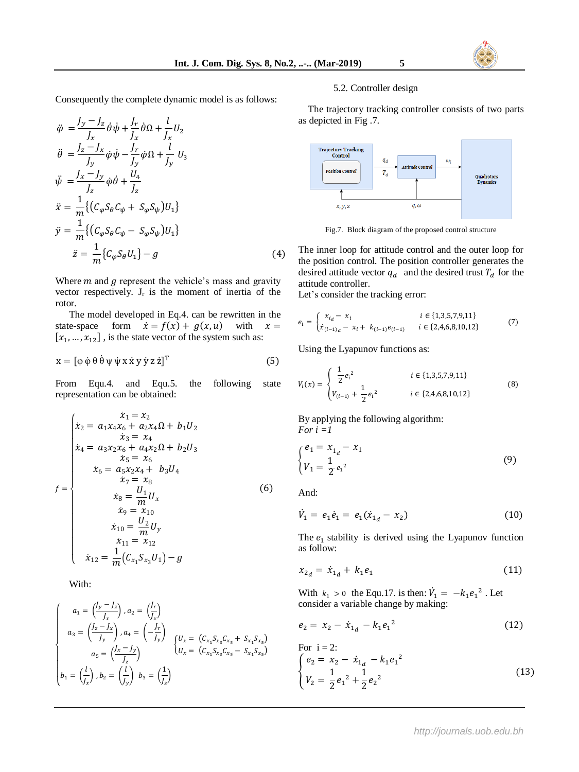Consequently the complete dynamic model is as follows:

$$
\ddot{\varphi} = \frac{J_y - J_z}{J_x} \dot{\theta} \dot{\psi} + \frac{J_r}{J_x} \dot{\theta} \Omega + \frac{l}{J_x} U_2
$$
\n
$$
\ddot{\theta} = \frac{J_z - J_x}{J_y} \dot{\phi} \dot{\psi} - \frac{J_r}{J_y} \dot{\phi} \Omega + \frac{l}{J_y} U_3
$$
\n
$$
\ddot{\psi} = \frac{J_x - J_y}{J_z} \dot{\phi} \dot{\theta} + \frac{U_4}{J_z}
$$
\n
$$
\ddot{x} = \frac{1}{m} \{ (C_\phi S_\theta C_\psi + S_\phi S_\psi) U_1 \}
$$
\n
$$
\ddot{y} = \frac{1}{m} \{ (C_\phi S_\theta C_\psi - S_\phi S_\psi) U_1 \}
$$
\n
$$
\ddot{z} = \frac{1}{m} \{ C_\phi S_\theta U_1 \} - g
$$
\n(4)

Where  $m$  and  $q$  represent the vehicle's mass and gravity vector respectively.  $J_r$  is the moment of inertia of the rotor.

The model developed in Eq.4. can be rewritten in the state-space form  $\dot{x} = f(x) + g(x, u)$  with  $x =$  $[x_1, ..., x_{12}]$ , is the state vector of the system such as:

$$
x = [\phi \dot{\phi} \theta \dot{\theta} \psi \dot{\psi} x \dot{x} y \dot{y} z \dot{z}]^{T}
$$
 (5)

From Equ.4. and Equ.5. the following state representation can be obtained:

$$
f = \begin{cases}\n x_1 = x_2 \\
 x_2 = a_1 x_4 x_6 + a_2 x_4 \Omega + b_1 U_2 \\
 x_3 = x_4 \\
 x_4 = a_3 x_2 x_6 + a_4 x_2 \Omega + b_2 U_3 \\
 x_5 = x_6 \\
 x_6 = a_5 x_2 x_4 + b_3 U_4 \\
 x_7 = x_8 \\
 x_8 = \frac{U_1}{m} U_x \\
 x_9 = x_{10} \\
 x_{10} = \frac{U_2}{m} U_y \\
 x_{11} = x_{12} \\
 x_{12} = \frac{1}{m} (C_{x_1} S_{x_3} U_1) - g\n\end{cases}
$$
\n(6)

With:

$$
\begin{cases}\n a_1 = \left(\frac{J_y - J_z}{J_x}\right), a_2 = \left(\frac{J_r}{J_x}\right) \\
 a_3 = \left(\frac{J_z - J_x}{J_y}\right), a_4 = \left(-\frac{J_r}{J_y}\right) \\
 a_5 = \left(\frac{J_x - J_y}{J_z}\right) \\
 b_1 = \left(\frac{l}{J_x}\right), b_2 = \left(\frac{l}{J_y}\right), b_3 = \left(\frac{1}{J_z}\right)\n\end{cases}\n\begin{cases}\n U_x = (C_{x_1}S_{x_3}C_{x_5} + S_{x_1}S_{x_5}) \\
 U_x = (C_{x_1}S_{x_3}C_{x_5} - S_{x_1}S_{x_5}) \\
 b_1 = \left(\frac{l}{J_x}\right), b_2 = \left(\frac{l}{J_y}\right), b_3 = \left(\frac{1}{J_z}\right)\n\end{cases}
$$

#### 5.2. Controller design

 The trajectory tracking controller consists of two parts as depicted in Fig .7.



Fig.7. Block diagram of the proposed control structure

The inner loop for attitude control and the outer loop for the position control. The position controller generates the desired attitude vector  $q_d$  and the desired trust  $T_d$  for the attitude controller.

Let's consider the tracking error:

$$
e_{i} = \begin{cases} x_{i_{d}} - x_{i} & i \in \{1,3,5,7,9,11\} \\ \dot{x}_{(i-1)_{d}} - x_{i} + k_{(i-1)}e_{(i-1)} & i \in \{2,4,6,8,10,12\} \end{cases}
$$
(7)

Using the Lyapunov functions as:

$$
V_i(x) = \begin{cases} \frac{1}{2} e_i^2 & i \in \{1,3,5,7,9,11\} \\ V_{(i-1)} + \frac{1}{2} e_i^2 & i \in \{2,4,6,8,10,12\} \end{cases}
$$
(8)

By applying the following algorithm: *For*  $i = 1$ 

$$
\begin{cases} e_1 = x_{1_d} - x_1 \\ V_1 = \frac{1}{2} e_1^2 \end{cases}
$$
 (9)

And:

$$
\dot{V}_1 = e_1 \dot{e}_1 = e_1 (\dot{x}_{1_d} - x_2) \tag{10}
$$

The  $e_1$  stability is derived using the Lyapunov function as follow:

$$
x_{2_d} = \dot{x}_{1_d} + k_1 e_1 \tag{11}
$$

With  $k_1 > 0$  the Equ.17. is then:  $\dot{V}_1 = -k_1 e_1^2$ . Let consider a variable change by making:

$$
e_2 = x_2 - \dot{x}_{1_d} - k_1 e_1^2 \tag{12}
$$

For 
$$
i = 2
$$
:  
\n
$$
\begin{cases}\ne_2 = x_2 - \dot{x}_{1_d} - k_1 e_1^2 \\
V_2 = \frac{1}{2} e_1^2 + \frac{1}{2} e_2^2\n\end{cases}
$$
\n(13)

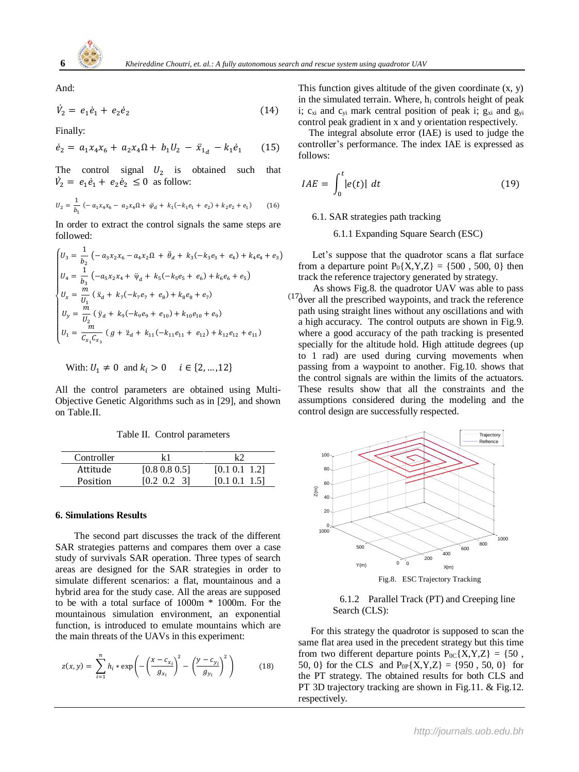

And:

$$
\dot{V}_2 = e_1 \dot{e}_1 + e_2 \dot{e}_2 \tag{14}
$$

Finally:

$$
\dot{e}_2 = a_1 x_4 x_6 + a_2 x_4 \Omega + b_1 U_2 - \ddot{x}_{1d} - k_1 \dot{e}_1 \qquad (15)
$$

The control signal  $U_2$  is obtained such that  $\dot{V}_2 = e_1 \dot{e}_1 + e_2 \dot{e}_2 \le 0$  as follow:

$$
U_2 = \frac{1}{b_1} \left( -a_1 x_4 x_6 - a_2 x_4 \Omega + \ddot{\varphi}_d + k_1 (-k_1 e_1 + e_2) + k_2 e_2 + e_1 \right) \tag{16}
$$

In order to extract the control signals the same steps are followed:

$$
\begin{cases}\nU_3 = \frac{1}{b_2} \left( -a_3 x_2 x_6 - a_4 x_2 \Omega + \ddot{\theta}_d + k_3 (-k_3 e_3 + e_4) + k_4 e_4 + e_3 \right) \\
U_4 = \frac{1}{b_3} \left( -a_5 x_2 x_4 + \ddot{\psi}_d + k_5 (-k_5 e_5 + e_6) + k_6 e_6 + e_5 \right) \\
U_x = \frac{m}{U_1} \left( \ddot{x}_d + k_7 (-k_7 e_7 + e_8) + k_8 e_8 + e_7 \right) \\
U_y = \frac{m}{U_2} \left( \ddot{y}_d + k_9 (-k_9 e_9 + e_{10}) + k_{10} e_{10} + e_9 \right) \\
U_1 = \frac{m}{C_{x_1} C_{x_3}} \left( g + \ddot{z}_d + k_{11} (-k_{11} e_{11} + e_{12}) + k_{12} e_{12} + e_{11} \right)\n\end{cases}
$$

With: 
$$
U_1 \neq 0
$$
 and  $k_i > 0$   $i \in \{2, ..., 12\}$ 

All the control parameters are obtained using Multi-Objective Genetic Algorithms such as in [29], and shown on Table.II.

Table II. Control parameters

| Controller | k 1                   |               |
|------------|-----------------------|---------------|
| Attitude   | $[0.8 \, 0.8 \, 0.5]$ | [0.1 0.1 1.2] |
| Position   | $[0.2 \ 0.2 \ 3]$     | [0.1 0.1 1.5] |

# **6. Simulations Results**

 The second part discusses the track of the different SAR strategies patterns and compares them over a case study of survivals SAR operation. Three types of search areas are designed for the SAR strategies in order to simulate different scenarios: a flat, mountainous and a hybrid area for the study case. All the areas are supposed to be with a total surface of 1000m \* 1000m. For the mountainous simulation environment, an exponential function, is introduced to emulate mountains which are the main threats of the UAVs in this experiment:

$$
z(x,y) = \sum_{i=1}^{n} h_i * \exp\left(-\left(\frac{x - c_{x_i}}{g_{x_i}}\right)^2 - \left(\frac{y - c_{y_i}}{g_{y_i}}\right)^2\right)
$$
(18)

This function gives altitude of the given coordinate  $(x, y)$ in the simulated terrain. Where,  $h_i$  controls height of peak i;  $c_{xi}$  and  $c_{yi}$  mark central position of peak i;  $g_{xi}$  and  $g_{yi}$ control peak gradient in x and y orientation respectively.

The integral absolute error (IAE) is used to judge the controller's performance. The index IAE is expressed as follows:

$$
IAE = \int_0^t |e(t)| \ dt \tag{19}
$$

6.1. SAR strategies path tracking

6.1.1 Expanding Square Search (ESC)

Let's suppose that the quadrotor scans a flat surface from a departure point  $P_0\{X, Y, Z\} = \{500, 500, 0\}$  then track the reference trajectory generated by strategy.

 $^{(17)}$  over all the prescribed waypoints, and track the reference As shows Fig.8. the quadrotor UAV was able to pass path using straight lines without any oscillations and with a high accuracy. The control outputs are shown in Fig.9. where a good accuracy of the path tracking is presented specially for the altitude hold. High attitude degrees (up to 1 rad) are used during curving movements when passing from a waypoint to another. Fig.10. shows that the control signals are within the limits of the actuators. These results show that all the constraints and the assumptions considered during the modeling and the control design are successfully respected.



Fig.8. ESC Trajectory Tracking

# 6.1.2 Parallel Track (PT) and Creeping line Search (CLS):

 For this strategy the quadrotor is supposed to scan the same flat area used in the precedent strategy but this time from two different departure points  $P_{0C} \{X, Y, Z\} = \{50, \}$ 50, 0} for the CLS and  $P_{0P}\{X, Y, Z\} = \{950, 50, 0\}$  for the PT strategy. The obtained results for both CLS and PT 3D trajectory tracking are shown in Fig.11. & Fig.12. respectively.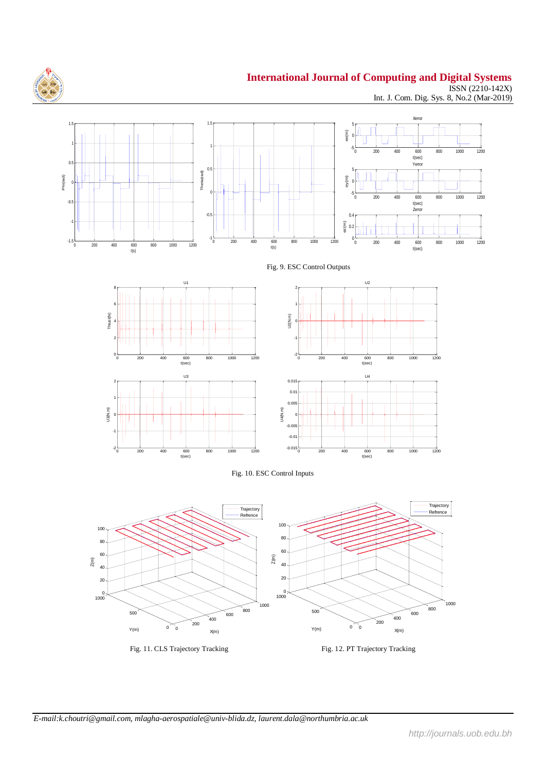

1.5  $-$ 

# **International Journal of Computing and Digital Systems**

ISSN (2210-142X) Int. J. Com. Dig. Sys. 8, No.2 (Mar-2019)















Fig. 11. CLS Trajectory Tracking Fig. 12. PT Trajectory Tracking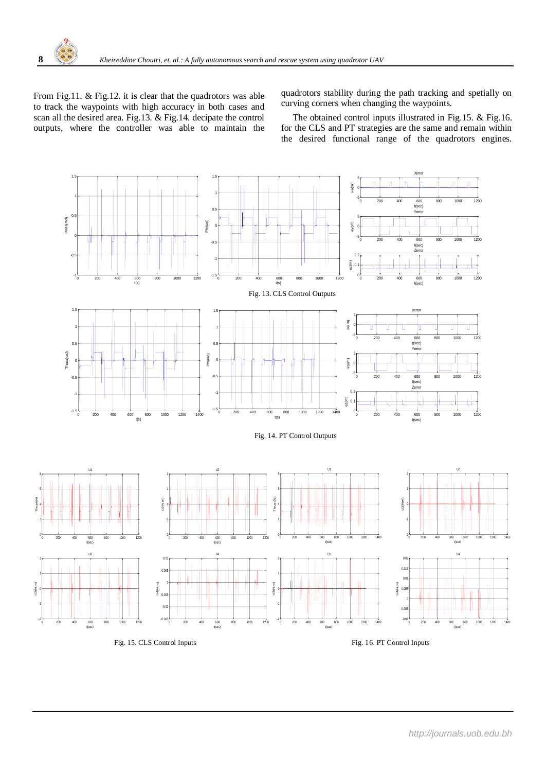From Fig.11. & Fig.12. it is clear that the quadrotors was able to track the waypoints with high accuracy in both cases and scan all the desired area. Fig.13. & Fig.14. decipate the control outputs, where the controller was able to maintain the quadrotors stability during the path tracking and spetially on curving corners when changing the waypoints.

 The obtained control inputs illustrated in Fig.15. & Fig.16. for the CLS and PT strategies are the same and remain within the desired functional range of the quadrotors engines.



Fig. 15. CLS Control Inputs Fig. 16. PT Control Inputs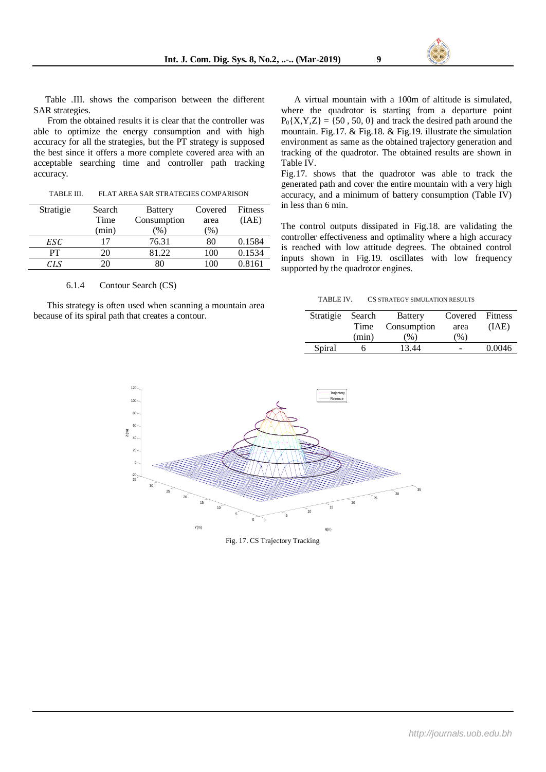From the obtained results it is clear that the controller was able to optimize the energy consumption and with high accuracy for all the strategies, but the PT strategy is supposed the best since it offers a more complete covered area with an acceptable searching time and controller path tracking accuracy.

TABLE III. FLAT AREA SAR STRATEGIES COMPARISON

| Stratigie | Search<br>Time | <b>Battery</b><br>Consumption | Covered<br>area | <b>Fitness</b><br>(IAE) |
|-----------|----------------|-------------------------------|-----------------|-------------------------|
|           | (min)          | $\%$                          | $\%$            |                         |
| ESC       |                | 76.31                         | 80              | 0.1584                  |
| PТ        | 20.            | 81.22                         | 100             | 0.1534                  |
| CLS       |                |                               | 100             | 0.8161                  |

#### 6.1.4 Contour Search (CS)

This strategy is often used when scanning a mountain area because of its spiral path that creates a contour.

A virtual mountain with a 100m of altitude is simulated, where the quadrotor is starting from a departure point  $P_0{X,Y,Z} = {50, 50, 0}$  and track the desired path around the mountain. Fig.17. & Fig.18. & Fig.19. illustrate the simulation environment as same as the obtained trajectory generation and tracking of the quadrotor. The obtained results are shown in Table IV.

Fig.17. shows that the quadrotor was able to track the generated path and cover the entire mountain with a very high accuracy, and a minimum of battery consumption (Table IV) in less than 6 min.

The control outputs dissipated in Fig.18. are validating the controller effectiveness and optimality where a high accuracy is reached with low attitude degrees. The obtained control inputs shown in Fig.19. oscillates with low frequency supported by the quadrotor engines.

TABLE IV. CS STRATEGY SIMULATION RESULTS

| Stratigie | Search | <b>Battery</b> | Covered Fitness |        |
|-----------|--------|----------------|-----------------|--------|
|           | Time   | Consumption    | area            | (AAE)  |
|           | (min)  | (% )           | (% )            |        |
| Spiral    |        | 13.44          |                 | 0.0046 |



Fig. 17. CS Trajectory Tracking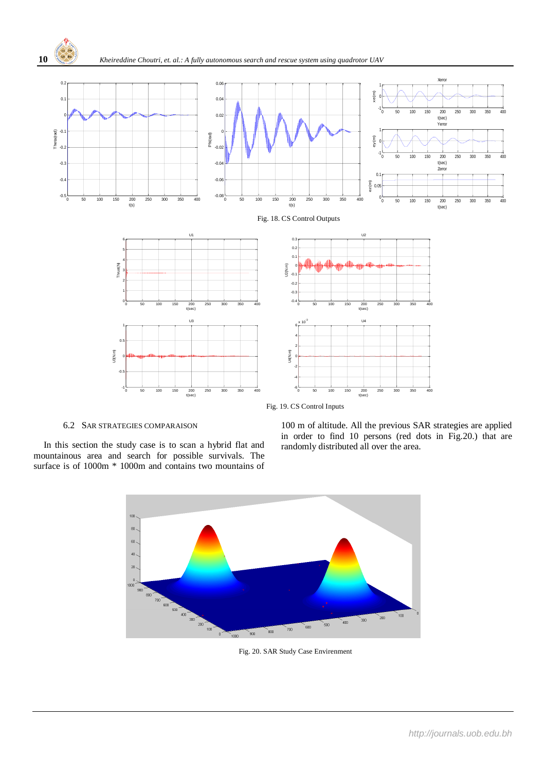

**10** *Kheireddine Choutri, et. al.: A fully autonomous search and rescue system using quadrotor UAV*



Fig. 19. CS Control Inputs

# 6.2 SAR STRATEGIES COMPARAISON

 In this section the study case is to scan a hybrid flat and mountainous area and search for possible survivals. The surface is of 1000m \* 1000m and contains two mountains of

100 m of altitude. All the previous SAR strategies are applied in order to find 10 persons (red dots in Fig.20.) that are randomly distributed all over the area.



Fig. 20. SAR Study Case Envirenment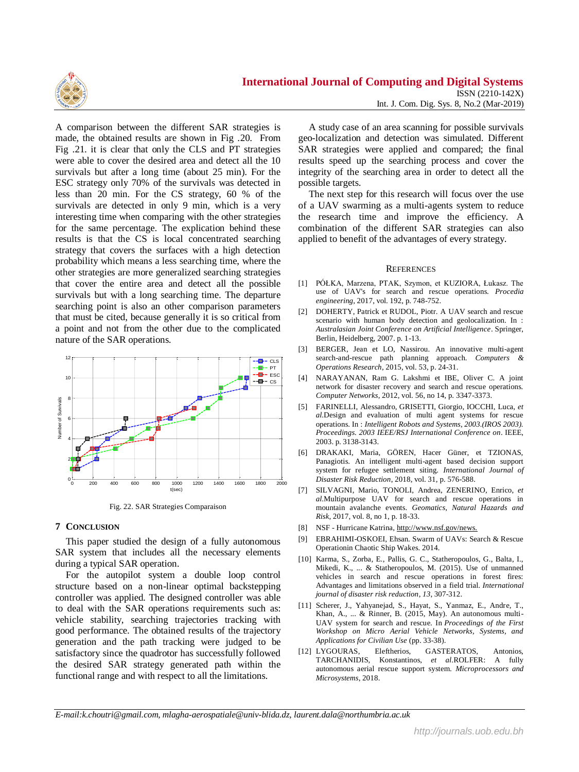

A comparison between the different SAR strategies is made, the obtained results are shown in Fig .20. From Fig .21. it is clear that only the CLS and PT strategies were able to cover the desired area and detect all the 10 survivals but after a long time (about 25 min). For the ESC strategy only 70% of the survivals was detected in less than 20 min. For the CS strategy, 60 % of the survivals are detected in only 9 min, which is a very interesting time when comparing with the other strategies for the same percentage. The explication behind these results is that the CS is local concentrated searching strategy that covers the surfaces with a high detection probability which means a less searching time, where the other strategies are more generalized searching strategies that cover the entire area and detect all the possible survivals but with a long searching time. The departure searching point is also an other comparison parameters that must be cited, because generally it is so critical from a point and not from the other due to the complicated nature of the SAR operations.



Fig. 22. SAR Strategies Comparaison

# **7 CONCLUSION**

This paper studied the design of a fully autonomous SAR system that includes all the necessary elements during a typical SAR operation.

For the autopilot system a double loop control structure based on a non-linear optimal backstepping controller was applied. The designed controller was able to deal with the SAR operations requirements such as: vehicle stability, searching trajectories tracking with good performance. The obtained results of the trajectory generation and the path tracking were judged to be satisfactory since the quadrotor has successfully followed the desired SAR strategy generated path within the functional range and with respect to all the limitations.

A study case of an area scanning for possible survivals geo-localization and detection was simulated. Different SAR strategies were applied and compared; the final results speed up the searching process and cover the integrity of the searching area in order to detect all the possible targets.

The next step for this research will focus over the use of a UAV swarming as a multi-agents system to reduce the research time and improve the efficiency. A combination of the different SAR strategies can also applied to benefit of the advantages of every strategy.

#### **REFERENCES**

- [1] PÓŁKA, Marzena, PTAK, Szymon, et KUZIORA, Łukasz. The use of UAV's for search and rescue operations. *Procedia engineering*, 2017, vol. 192, p. 748-752.
- [2] DOHERTY, Patrick et RUDOL, Piotr. A UAV search and rescue scenario with human body detection and geolocalization. In : *Australasian Joint Conference on Artificial Intelligence*. Springer, Berlin, Heidelberg, 2007. p. 1-13.
- [3] BERGER, Jean et LO, Nassirou. An innovative multi-agent search-and-rescue path planning approach. *Computers & Operations Research*, 2015, vol. 53, p. 24-31.
- [4] NARAYANAN, Ram G. Lakshmi et IBE, Oliver C. A joint network for disaster recovery and search and rescue operations. *Computer Networks*, 2012, vol. 56, no 14, p. 3347-3373.
- [5] FARINELLI, Alessandro, GRISETTI, Giorgio, IOCCHI, Luca, *et al.*Design and evaluation of multi agent systems for rescue operations. In : *Intelligent Robots and Systems, 2003.(IROS 2003). Proceedings. 2003 IEEE/RSJ International Conference on*. IEEE, 2003. p. 3138-3143.
- [6] DRAKAKI, Maria, GÖREN, Hacer Güner, et TZIONAS, Panagiotis. An intelligent multi-agent based decision support system for refugee settlement siting. *International Journal of Disaster Risk Reduction*, 2018, vol. 31, p. 576-588.
- [7] SILVAGNI, Mario, TONOLI, Andrea, ZENERINO, Enrico, *et al.*Multipurpose UAV for search and rescue operations in mountain avalanche events. *Geomatics, Natural Hazards and Risk*, 2017, vol. 8, no 1, p. 18-33.
- [8] NSF Hurricane Katrina,<http://www.nsf.gov/news.>
- [9] EBRAHIMI-OSKOEI, Ehsan. Swarm of UAVs: Search & Rescue Operationin Chaotic Ship Wakes. 2014.
- [10] Karma, S., Zorba, E., Pallis, G. C., Statheropoulos, G., Balta, I., Mikedi, K., ... & Statheropoulos, M. (2015). Use of unmanned vehicles in search and rescue operations in forest fires: Advantages and limitations observed in a field trial. *International journal of disaster risk reduction*, *13*, 307-312.
- [11] Scherer, J., Yahyanejad, S., Hayat, S., Yanmaz, E., Andre, T., Khan, A., ... & Rinner, B. (2015, May). An autonomous multi-UAV system for search and rescue. In *Proceedings of the First Workshop on Micro Aerial Vehicle Networks, Systems, and Applications for Civilian Use* (pp. 33-38).
- [12] LYGOURAS, Eleftherios, GASTERATOS, Antonios, TARCHANIDIS, Konstantinos, *et al.*ROLFER: A fully autonomous aerial rescue support system. *Microprocessors and Microsystems*, 2018.

*E-mail:k.choutri@gmail.com, mlagha-aerospatiale@univ-blida.dz, laurent.dala@northumbria.ac.uk*